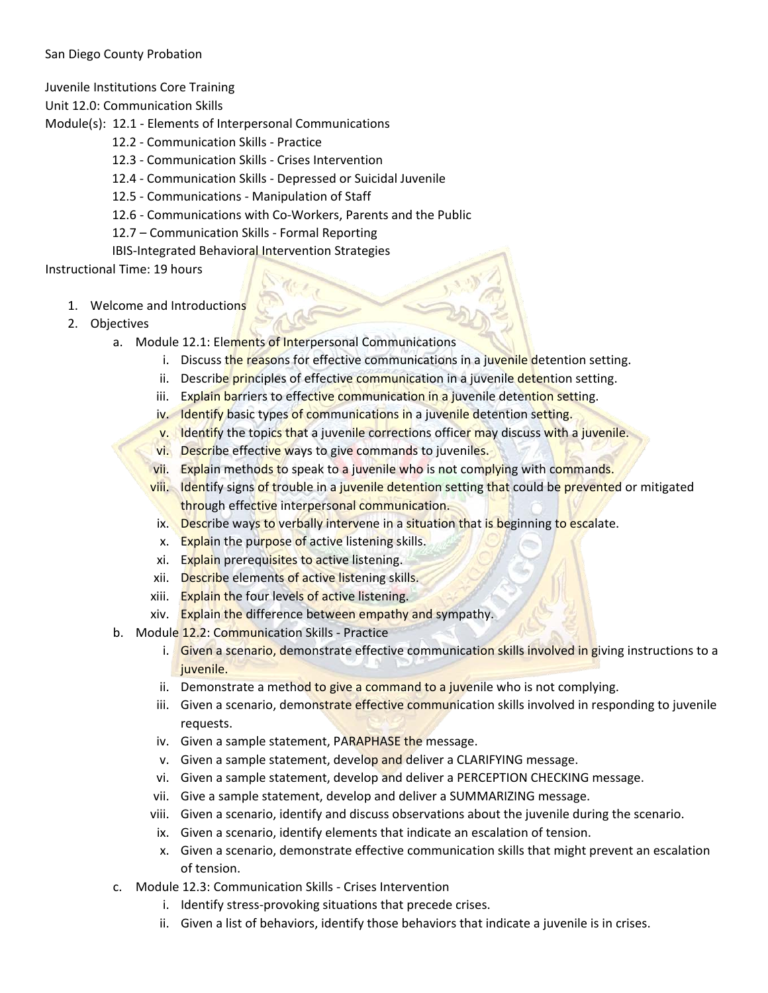## San Diego County Probation

Juvenile Institutions Core Training

Unit 12.0: Communication Skills

Module(s): 12.1 - Elements of Interpersonal Communications

- 12.2 Communication Skills Practice
- 12.3 Communication Skills Crises Intervention
- 12.4 Communication Skills Depressed or Suicidal Juvenile
- 12.5 Communications Manipulation of Staff
- 12.6 Communications with Co-Workers, Parents and the Public
- 12.7 Communication Skills Formal Reporting
- IBIS-Integrated Behavioral Intervention Strategies

Instructional Time: 19 hours

- 1. Welcome and Introductions
- 2. Objectives
	- a. Module 12.1: Elements of Interpersonal Communications
		- i. Discuss the reasons for effective communications in a juvenile detention setting.
		- ii. Describe principles of effective communication in a juvenile detention setting.
		- iii. Explain barriers to effective communication in a juvenile detention setting.
		- iv. Identify basic types of communications in a juvenile detention setting.
		- v. Identify the topics that a juvenile corrections officer may discuss with a juvenile.
		- vi. Describe effective ways to give commands to juveniles.
		- vii. Explain methods to speak to a juvenile who is not complying with commands.
		- viii. Identify signs of trouble in a juvenile detention setting that could be prevented or mitigated through effective interpersonal communication.
		- ix. Describe ways to verbally intervene in a situation that is beginning to escalate.
		- x. Explain the purpose of active listening skills.
		- xi. Explain prerequisites to active listening.
		- xii. Describe elements of active listening skills.
		- xiii. Explain the four levels of active listening.
		- xiv. Explain the difference between empathy and sympathy.
	- b. Module 12.2: Communication Skills Practice
		- i. Given a scenario, demonstrate effective communication skills involved in giving instructions to a juvenile.
		- ii. Demonstrate a method to give a command to a juvenile who is not complying.
		- iii. Given a scenario, demonstrate effective communication skills involved in responding to juvenile requests.
		- iv. Given a sample statement, PARAPHASE the message.
		- v. Given a sample statement, develop and deliver a CLARIFYING message.
		- vi. Given a sample statement, develop and deliver a PERCEPTION CHECKING message.
		- vii. Give a sample statement, develop and deliver a SUMMARIZING message.
		- viii. Given a scenario, identify and discuss observations about the juvenile during the scenario.
		- ix. Given a scenario, identify elements that indicate an escalation of tension.
		- x. Given a scenario, demonstrate effective communication skills that might prevent an escalation of tension.
	- c. Module 12.3: Communication Skills Crises Intervention
		- i. Identify stress-provoking situations that precede crises.
		- ii. Given a list of behaviors, identify those behaviors that indicate a juvenile is in crises.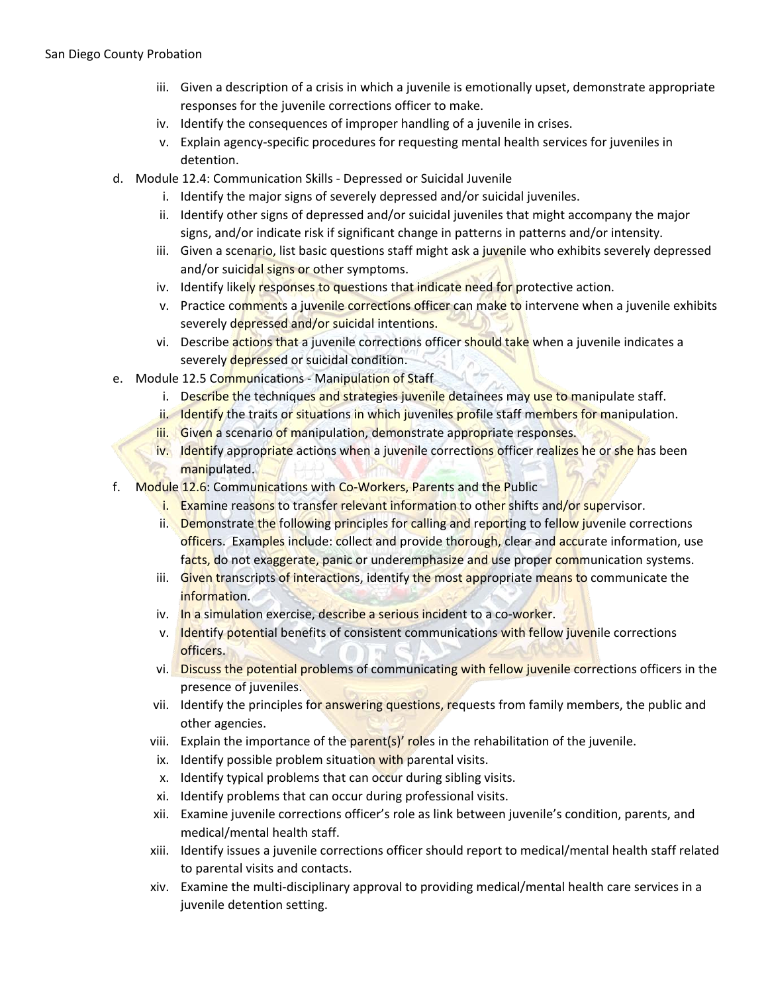- iii. Given a description of a crisis in which a juvenile is emotionally upset, demonstrate appropriate responses for the juvenile corrections officer to make.
- iv. Identify the consequences of improper handling of a juvenile in crises.
- v. Explain agency-specific procedures for requesting mental health services for juveniles in detention.
- d. Module 12.4: Communication Skills Depressed or Suicidal Juvenile
	- i. Identify the major signs of severely depressed and/or suicidal juveniles.
	- ii. Identify other signs of depressed and/or suicidal juveniles that might accompany the major signs, and/or indicate risk if significant change in patterns in patterns and/or intensity.
	- iii. Given a scenario, list basic questions staff might ask a juvenile who exhibits severely depressed and/or suicidal signs or other symptoms.
	- iv. Identify likely responses to questions that indicate need for protective action.
	- v. Practice comments a juvenile corrections officer can make to intervene when a juvenile exhibits severely depressed and/or suicidal intentions.
	- vi. Describe actions that a juvenile corrections officer should take when a juvenile indicates a severely depressed or suicidal condition.
- e. Module 12.5 Communications Manipulation of Staff
	- i. Describe the techniques and strategies juvenile detainees may use to manipulate staff.
	- ii. Identify the traits or situations in which juveniles profile staff members for manipulation.
	- iii. Given a scenario of manipulation, demonstrate appropriate responses.
	- iv. Identify appropriate actions when a juvenile corrections officer realizes he or she has been manipulated.
- f. Module 12.6: Communications with Co-Workers, Parents and the Public
	- i. Examine reasons to transfer relevant information to other shifts and/or supervisor.
	- ii. Demonstrate the following principles for calling and reporting to fellow juvenile corrections officers. Examples include: collect and provide thorough, clear and accurate information, use facts, do not exaggerate, panic or underemphasize and use proper communication systems.
	- iii. Given transcripts of interactions, identify the most appropriate means to communicate the information.
	- iv. In a simulation exercise, describe a serious incident to a co-worker.
	- v. Identify potential benefits of consistent communications with fellow juvenile corrections officers.
	- vi. Discuss the potential problems of communicating with fellow juvenile corrections officers in the presence of juveniles.
	- vii. Identify the principles for answering questions, requests from family members, the public and other agencies.
	- viii. Explain the importance of the parent(s)' roles in the rehabilitation of the juvenile.
	- ix. Identify possible problem situation with parental visits.
	- x. Identify typical problems that can occur during sibling visits.
	- xi. Identify problems that can occur during professional visits.
	- xii. Examine juvenile corrections officer's role as link between juvenile's condition, parents, and medical/mental health staff.
	- xiii. Identify issues a juvenile corrections officer should report to medical/mental health staff related to parental visits and contacts.
	- xiv. Examine the multi-disciplinary approval to providing medical/mental health care services in a juvenile detention setting.